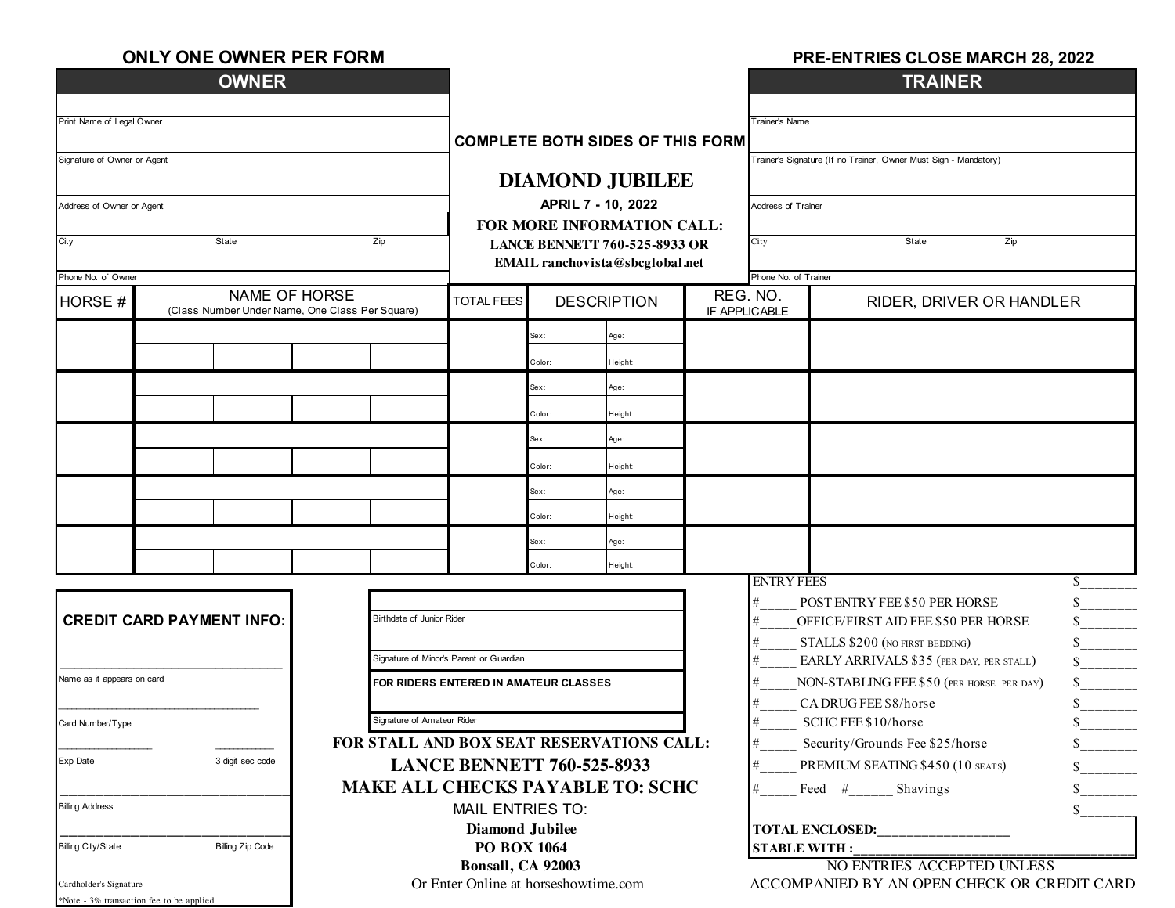|  |  | <b>ONLY ONE OWNER PER FORM</b> |
|--|--|--------------------------------|
|--|--|--------------------------------|

#### **PRE-ENTRIES CLOSE MARCH 28, 2022**

| <b>OWNER</b>                                                         |                                      |                                                                  |                                                                         |                                         |                                             |                                                                  | <b>TRAINER</b>                                |                                                                      |               |  |
|----------------------------------------------------------------------|--------------------------------------|------------------------------------------------------------------|-------------------------------------------------------------------------|-----------------------------------------|---------------------------------------------|------------------------------------------------------------------|-----------------------------------------------|----------------------------------------------------------------------|---------------|--|
| Print Name of Legal Owner                                            |                                      |                                                                  |                                                                         |                                         |                                             |                                                                  | <b>Trainer's Name</b>                         |                                                                      |               |  |
|                                                                      |                                      |                                                                  | <b>COMPLETE BOTH SIDES OF THIS FORM</b>                                 |                                         |                                             |                                                                  |                                               |                                                                      |               |  |
| Signature of Owner or Agent                                          |                                      |                                                                  |                                                                         |                                         |                                             | Trainer's Signature (If no Trainer, Owner Must Sign - Mandatory) |                                               |                                                                      |               |  |
|                                                                      |                                      |                                                                  | <b>DIAMOND JUBILEE</b>                                                  |                                         |                                             |                                                                  |                                               |                                                                      |               |  |
| Address of Owner or Agent                                            |                                      |                                                                  | APRIL 7 - 10, 2022                                                      |                                         |                                             |                                                                  | Address of Trainer<br>State<br>Zip            |                                                                      |               |  |
|                                                                      |                                      |                                                                  |                                                                         | FOR MORE INFORMATION CALL:              |                                             |                                                                  |                                               |                                                                      |               |  |
| City                                                                 | State<br>Zip                         |                                                                  | <b>LANCE BENNETT 760-525-8933 OR</b><br>EMAIL ranchovista@sbcglobal.net |                                         |                                             |                                                                  | City                                          |                                                                      |               |  |
| Phone No. of Owner                                                   |                                      |                                                                  |                                                                         |                                         |                                             |                                                                  | Phone No. of Trainer                          |                                                                      |               |  |
| HORSE #                                                              |                                      | NAME OF HORSE<br>(Class Number Under Name, One Class Per Square) | <b>TOTAL FEES</b>                                                       | <b>DESCRIPTION</b>                      |                                             | REG. NO.                                                         | IF APPLICABLE                                 | RIDER, DRIVER OR HANDLER                                             |               |  |
|                                                                      |                                      |                                                                  |                                                                         | Sex:                                    | Age:                                        |                                                                  |                                               |                                                                      |               |  |
|                                                                      |                                      |                                                                  |                                                                         | Color:                                  | Height                                      |                                                                  |                                               |                                                                      |               |  |
|                                                                      |                                      |                                                                  |                                                                         | Sex:                                    | Age:                                        |                                                                  |                                               |                                                                      |               |  |
|                                                                      |                                      |                                                                  |                                                                         | Color:                                  | Height                                      |                                                                  |                                               |                                                                      |               |  |
|                                                                      |                                      |                                                                  |                                                                         | Sex:                                    | Age:                                        |                                                                  |                                               |                                                                      |               |  |
|                                                                      |                                      |                                                                  |                                                                         | Color:                                  | Height                                      |                                                                  |                                               |                                                                      |               |  |
|                                                                      |                                      |                                                                  |                                                                         | Sex:                                    | Age:                                        |                                                                  |                                               |                                                                      |               |  |
|                                                                      |                                      |                                                                  |                                                                         | Color:                                  | Height                                      |                                                                  |                                               |                                                                      |               |  |
|                                                                      |                                      |                                                                  |                                                                         | Sex:                                    | Age:                                        |                                                                  |                                               |                                                                      |               |  |
|                                                                      |                                      |                                                                  |                                                                         | Color:                                  | Height                                      |                                                                  |                                               |                                                                      |               |  |
|                                                                      |                                      |                                                                  |                                                                         |                                         |                                             |                                                                  | <b>ENTRY FEES</b>                             |                                                                      | S.            |  |
| <b>Birthdate of Junior Rider</b><br><b>CREDIT CARD PAYMENT INFO:</b> |                                      |                                                                  |                                                                         |                                         |                                             |                                                                  | #<br>#                                        | POST ENTRY FEE \$50 PER HORSE<br>OFFICE/FIRST AID FEE \$50 PER HORSE | S.            |  |
|                                                                      |                                      |                                                                  |                                                                         | $\#$<br>STALLS \$200 (NO FIRST BEDDING) |                                             |                                                                  |                                               |                                                                      |               |  |
|                                                                      |                                      |                                                                  | Signature of Minor's Parent or Guardian                                 |                                         |                                             |                                                                  | EARLY ARRIVALS \$35 (PER DAY, PER STALL)<br># |                                                                      |               |  |
| Name as it appears on card                                           |                                      | FOR RIDERS ENTERED IN AMATEUR CLASSES                            |                                                                         |                                         |                                             | #                                                                | NON-STABLING FEE \$50 (PER HORSE PER DAY)     |                                                                      |               |  |
|                                                                      |                                      |                                                                  |                                                                         |                                         |                                             |                                                                  | #                                             | CA DRUG FEE \$8/horse                                                |               |  |
| Signature of Amateur Rider<br>Card Number/Type                       |                                      |                                                                  |                                                                         |                                         |                                             | SCHC FEE \$10/horse                                              |                                               |                                                                      |               |  |
| Exp Date                                                             | 3 digit sec code                     | FOR STALL AND BOX SEAT RESERVATIONS CALL:                        |                                                                         |                                         |                                             |                                                                  |                                               | Security/Grounds Fee \$25/horse                                      |               |  |
|                                                                      |                                      | <b>LANCE BENNETT 760-525-8933</b>                                |                                                                         |                                         |                                             |                                                                  | PREMIUM SEATING \$450 (10 SEATS)              |                                                                      |               |  |
| <b>Billing Address</b>                                               |                                      |                                                                  | <b>MAKE ALL CHECKS PAYABLE TO: SCHC</b>                                 |                                         |                                             |                                                                  | #                                             | Feed # Shavings                                                      | \$            |  |
|                                                                      |                                      |                                                                  | <b>MAIL ENTRIES TO:</b><br><b>Diamond Jubilee</b>                       |                                         |                                             |                                                                  |                                               |                                                                      | $\mathcal{S}$ |  |
| <b>Billing City/State</b>                                            | <b>Billing Zip Code</b>              |                                                                  | <b>PO BOX 1064</b>                                                      |                                         |                                             |                                                                  | <b>TOTAL ENCLOSED:</b><br><b>STABLE WITH:</b> |                                                                      |               |  |
|                                                                      |                                      |                                                                  | Bonsall, CA 92003                                                       |                                         |                                             |                                                                  | NO ENTRIES ACCEPTED UNLESS                    |                                                                      |               |  |
| Cardholder's Signature                                               | Or Enter Online at horseshowtime.com |                                                                  |                                                                         |                                         | ACCOMPANIED BY AN OPEN CHECK OR CREDIT CARD |                                                                  |                                               |                                                                      |               |  |
| *Note - 3% transaction fee to be applied                             |                                      |                                                                  |                                                                         |                                         |                                             |                                                                  |                                               |                                                                      |               |  |